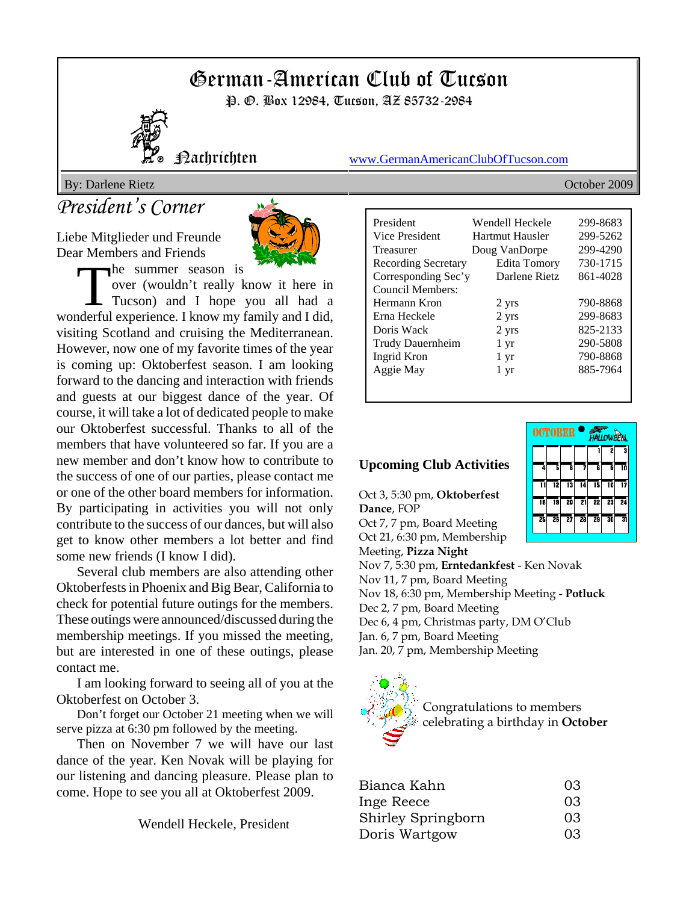# German-American Club of Tucson

P. *G.* Box 12984, Tucson, AZ 85732-2984



Nachrichten www.GermanAmericanClubOfTucson.com

By: Darlene Rietz October 2009

## *President's Corner*

Liebe Mitglieder und Freunde Dear Members and Friends



The summer season is<br>
over (wouldn't really know it here in<br>
Tucson) and I hope you all had a over (wouldn't really know it here in wonderful experience. I know my family and I did, visiting Scotland and cruising the Mediterranean. However, now one of my favorite times of the year is coming up: Oktoberfest season. I am looking forward to the dancing and interaction with friends and guests at our biggest dance of the year. Of course, it will take a lot of dedicated people to make our Oktoberfest successful. Thanks to all of the members that have volunteered so far. If you are a new member and don't know how to contribute to the success of one of our parties, please contact me or one of the other board members for information. By participating in activities you will not only contribute to the success of our dances, but will also get to know other members a lot better and find some new friends (I know I did).

Several club members are also attending other Oktoberfests in Phoenix and Big Bear, California to check for potential future outings for the members. These outings were announced/discussed during the membership meetings. If you missed the meeting, but are interested in one of these outings, please contact me.

I am looking forward to seeing all of you at the Oktoberfest on October 3.

Don't forget our October 21 meeting when we will serve pizza at 6:30 pm followed by the meeting.

Then on November 7 we will have our last dance of the year. Ken Novak will be playing for our listening and dancing pleasure. Please plan to come. Hope to see you all at Oktoberfest 2009.

Wendell Heckele, President

| President                  | Wendell Heckele | 299-8683 |
|----------------------------|-----------------|----------|
| Vice President             | Hartmut Hausler | 299-5262 |
| Treasurer                  | Doug VanDorpe   | 299-4290 |
| <b>Recording Secretary</b> | Edita Tomory    | 730-1715 |
| Corresponding Sec'y        | Darlene Rietz   | 861-4028 |
| Council Members:           |                 |          |
| Hermann Kron               | 2 yrs           | 790-8868 |
| Erna Heckele               | 2 yrs           | 299-8683 |
| Doris Wack                 | 2 yrs           | 825-2133 |
| Trudy Dauernheim           | $1 \, yr$       | 290-5808 |
| Ingrid Kron                | $1 \mathrm{yr}$ | 790-8868 |
| Aggie May                  | 1 yr            | 885-7964 |
|                            |                 |          |

OCTOBER

### **Upcoming Club Activities**

Oct 3, 5:30 pm, **Oktoberfest Dance**, FOP Oct 7, 7 pm, Board Meeting Oct 21, 6:30 pm, Membership Meeting, **Pizza Night** Nov 7, 5:30 pm, **Erntedankfest** - Ken Novak Nov 11, 7 pm, Board Meeting Nov 18, 6:30 pm, Membership Meeting - **Potluck** Dec 2, 7 pm, Board Meeting Dec 6, 4 pm, Christmas party, DM O'Club Jan. 6, 7 pm, Board Meeting Jan. 20, 7 pm, Membership Meeting



| Bianca Kahn        | 03 |
|--------------------|----|
| Inge Reece         | 03 |
| Shirley Springborn | 03 |
| Doris Wartgow      | 03 |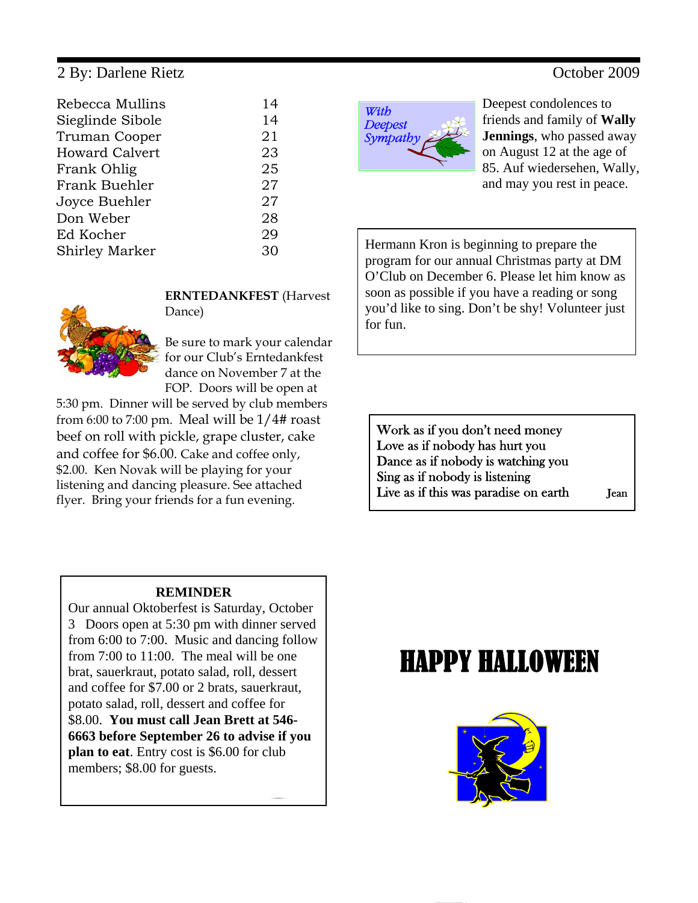### 2 By: Darlene Rietz October 2009

| 14 |
|----|
| 14 |
| 21 |
| 23 |
| 25 |
| 27 |
| 27 |
| 28 |
| 29 |
| 30 |
|    |



Deepest condolences to friends and family of **Wally Jennings**, who passed away on August 12 at the age of 85. Auf wiedersehen, Wally, and may you rest in peace.

Hermann Kron is beginning to prepare the program for our annual Christmas party at DM O'Club on December 6. Please let him know as soon as possible if you have a reading or song you'd like to sing. Don't be shy! Volunteer just for fun.

Work as if you don't need money Love as if nobody has hurt you Dance as if nobody is watching you Sing as if nobody is listening Live as if this was paradise on earth Jean

### **REMINDER**

Our annual Oktoberfest is Saturday, October 3 Doors open at 5:30 pm with dinner served from 6:00 to 7:00. Music and dancing follow from 7:00 to 11:00. The meal will be one brat, sauerkraut, potato salad, roll, dessert and coffee for \$7.00 or 2 brats, sauerkraut, potato salad, roll, dessert and coffee for \$8.00. **You must call Jean Brett at 546- 6663 before September 26 to advise if you plan to eat**. Entry cost is \$6.00 for club members; \$8.00 for guests.

## HAPPY HALLOWEEN





**ERNTEDANKFEST** (Harvest Dance)

Be sure to mark your calendar for our Club's Erntedankfest dance on November 7 at the FOP. Doors will be open at

5:30 pm. Dinner will be served by club members from 6:00 to 7:00 pm. Meal will be  $1/4$ # roast beef on roll with pickle, grape cluster, cake and coffee for \$6.00. Cake and coffee only, \$2.00. Ken Novak will be playing for your listening and dancing pleasure. See attached flyer. Bring your friends for a fun evening.